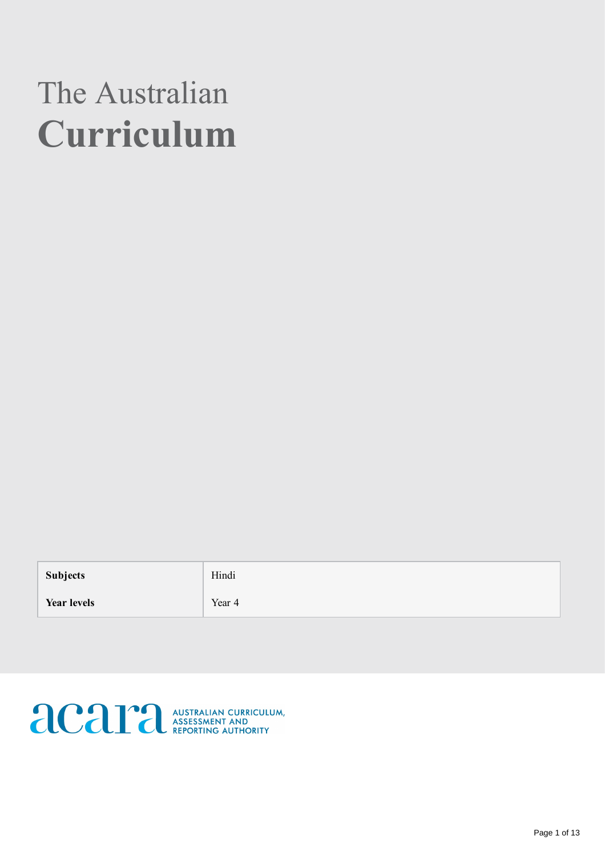# The Australian Curriculum

Subjects Hindi

Year levels **Year 4** 

**ACAPE AUSTRALIAN CURRICULUM**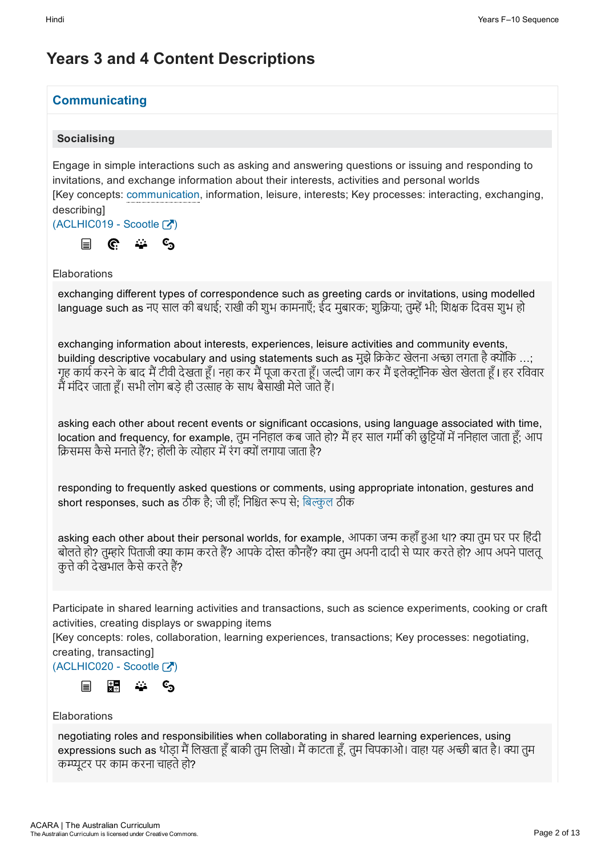# Years 3 and 4 Content Descriptions

## **Communicating**

#### Socialising

Engage in simple interactions such as asking and answering questions or issuing and responding to invitations, and exchange information about their interests, activities and personal worlds [Key concepts: communication, information, leisure, interests; Key processes: interacting, exchanging, describing]

 $(ACLHIC019 - ScoreI)$ 



**Elaborations** 

exchanging different types of correspondence such as greeting cards or invitations, using modelled language such as नए साल की बधाई; राखी की शुभ कामनाएँ; ईद मुबारक; शुक्रिया; तुम्हें भी; शिक्षक दिवस शुभ हो

exchanging information about interests, experiences, leisure activities and community events, building descriptive vocabulary and using statements such as मुझे क्रिकेट खेलना अच्छा लगता है क्योंकि …; गृह कार्य करने के बाद मैं टीवी देखता हूँ। नहा कर मैं पूजा करता हूँ। जल्दी जाग कर मैं इलेक्टॉनिक खेल खेलता हूँ। हर रविवार मैं मंदिर जाता हैं। सभी लोग बड़े ही उत्साह के साथ बैसाखी मेले जाते हैं।

asking each other about recent events or significant occasions, using language associated with time, location and frequency, for example, तुम ननिहाल कब जाते हो? मैं हर साल गर्मी की छुट्टियों में ननिहाल जाता हूँ; आप क्रिसमस कैसे मनाते हैं?: होली के त्योहार में रंग क्यों लगाया जाता है?

responding to frequently asked questions or comments, using appropriate intonation, gestures and short responses, such as ठीक है; जी हाँ; निश्चित रूप से; बिल्कुल ठीक

asking each other about their personal worlds, for example, आपका जन्म कहाँ हुआ था? क्या तुम घर पर हिंदी बोलते हो? तुम्हारे पिताजी क्या काम करते हैं? आपके दोस्त कौनहैं? क्या तुम अपनी दादी से प्यार करते हो? आप अपने पालतू कुत्ते की देखभाल कैसे करते हैं?

Participate in shared learning activities and transactions, such as science experiments, cooking or craft activities, creating displays or swapping items

[Key concepts: roles, collaboration, learning experiences, transactions; Key processes: negotiating, creating, transacting]

## (ACLHIC020 - Scootle [7]



#### Elaborations

negotiating roles and responsibilities when collaborating in shared learning experiences, using expressions such as थोड़ा मैं लिखता हूँ बाकी तुम लिखो। मैं काटता हूँ, तुम चिपकाओ। वाह! यह अच्छी बात है। क्या तुम कूटर पर काम करना चाहतेहो?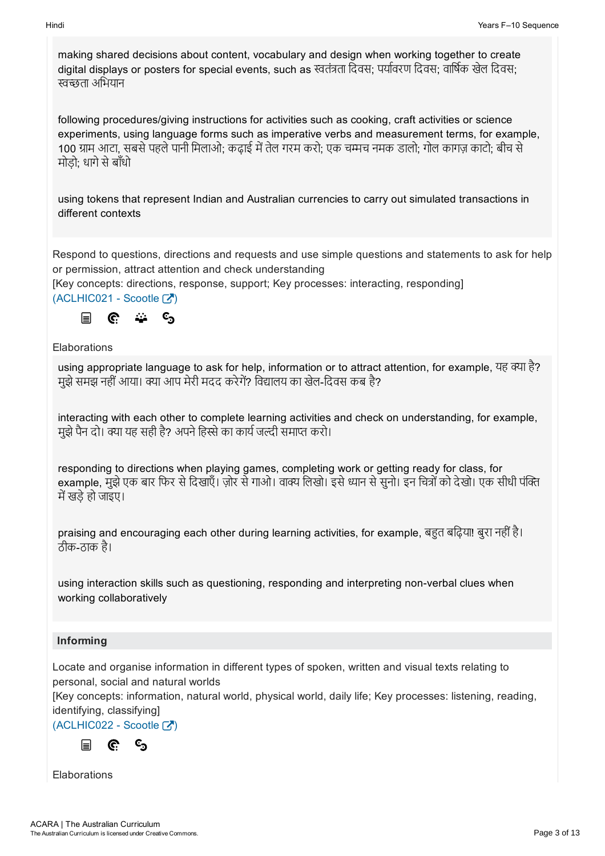making shared decisions about content, vocabulary and design when working together to create digital displays or posters for special events, such as स्वतंत्रता दिवस; पर्यावरण दिवस; वार्षिक खेल दिवस: स्वच्छता अभियान

following procedures/giving instructions for activities such as cooking, craft activities or science experiments, using language forms such as imperative verbs and measurement terms, for example, 100 ग्राम आटा, सबसे पहले पानी मिलाओ; कढाई में तेल गरम करो; एक चम्मच नमक डालो; गोल कागज़ काटो; बीच से मोड़ो; धागेसेबाँधो

using tokens that represent Indian and Australian currencies to carry out simulated transactions in different contexts

Respond to questions, directions and requests and use simple questions and statements to ask for help or permission, attract attention and check understanding

[Key concepts: directions, response, support; Key processes: interacting, responding]

(ACLHIC021 - Scootle [7])



**Elaborations** 

using appropriate language to ask for help, information or to attract attention, for example, यह क्या है? मुझे समझ नहीं आया। क्या आप मेरी मदद करेगें? विद्यालय का खेल-दिवस कब है?

interacting with each other to complete learning activities and check on understanding, for example, मुझे पैन दो। क्या यह सही है? अपने हिस्से का कार्य जल्दी समाप्त करो।

responding to directions when playing games, completing work or getting ready for class, for example, मुझे एक बार फिर से दिखाएँ। ज़ोर से गाओ। वाक्य लिखो। इसे ध्यान से सुनो। इन चित्रों को देखो। एक सीधी पंक्ति में खड़े हो जाइए।

praising and encouraging each other during learning activities, for example, बहुत बढिया! बुरा नहीं है। ठीक-ठाक है।

using interaction skills such as questioning, responding and interpreting non-verbal clues when working collaboratively

#### Informing

Locate and organise information in different types of spoken, written and visual texts relating to personal, social and natural worlds

[Key concepts: information, natural world, physical world, daily life; Key processes: listening, reading, identifying, classifying]

 $(ACLHIC022 - Scootle \nabla)$ 



Elaborations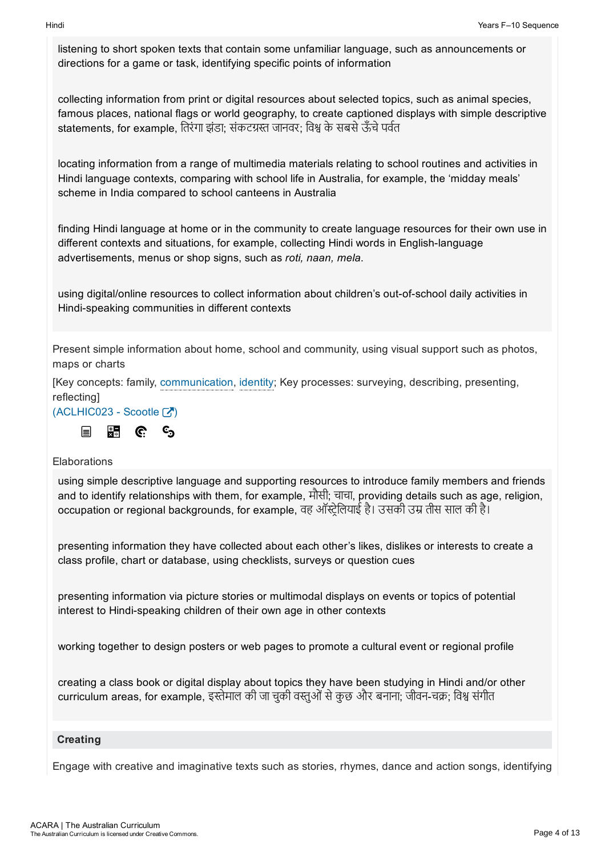listening to short spoken texts that contain some unfamiliar language, such as announcements or directions for a game or task, identifying specific points of information

collecting information from print or digital resources about selected topics, such as animal species, famous places, national flags or world geography, to create captioned displays with simple descriptive statements, for example, तिरंगा झंडा; संकटग्रस्त जानवर; विश्व के सबसे ऊँचे पर्वत

locating information from a range of multimedia materials relating to school routines and activities in Hindi language contexts, comparing with school life in Australia, for example, the 'midday meals' scheme in India compared to school canteens in Australia

finding Hindi language at home or in the community to create language resources for their own use in different contexts and situations, for example, collecting Hindi words in English-language advertisements, menus or shop signs, such as roti, naan, mela.

using digital/online resources to collect information about children's out-of-school daily activities in Hindi-speaking communities in different contexts

Present simple information about home, school and community, using visual support such as photos, maps or charts

[Key concepts: family, communication, identity; Key processes: surveying, describing, presenting, reflecting]

 $(ACLHIC023 - ScoreE)$ 



#### **Elaborations**

using simple descriptive language and supporting resources to introduce family members and friends and to identify relationships with them, for example, मौसी; चाचा, providing details such as age, religion, occupation or regional backgrounds, for example, वह ऑस्टेलियाई है। उसकी उम्र तीस साल की है।

presenting information they have collected about each other's likes, dislikes or interests to create a class profile, chart or database, using checklists, surveys or question cues

presenting information via picture stories or multimodal displays on events or topics of potential interest to Hindi-speaking children of their own age in other contexts

working together to design posters or web pages to promote a cultural event or regional profile

creating a class book or digital display about topics they have been studying in Hindi and/or other curriculum areas, for example, इस्तेमाल की जा चुकी वस्तुओं से कुछ और बनाना: जीवन-चक्र: विश्व संगीत

#### **Creating**

Engage with creative and imaginative texts such as stories, rhymes, dance and action songs, identifying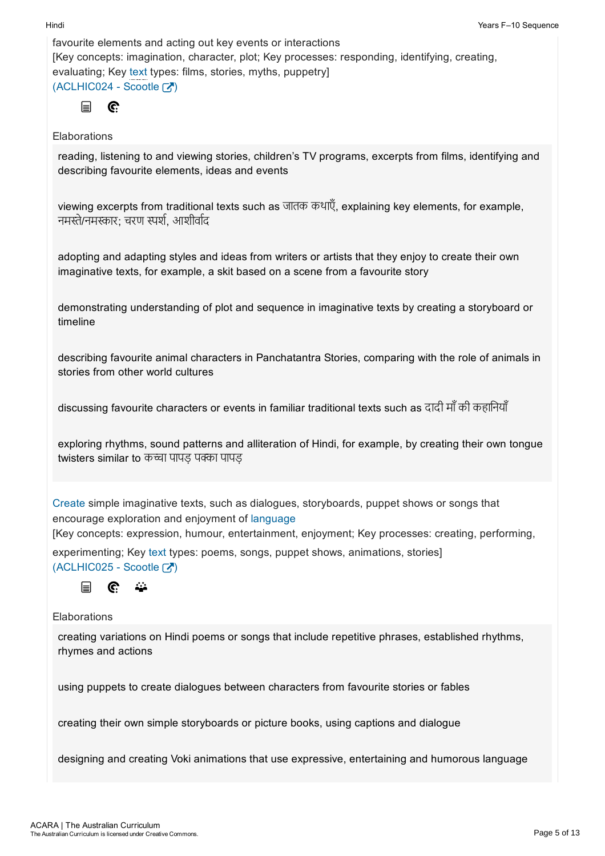favourite elements and acting out key events or interactions [Key concepts: imagination, character, plot; Key processes: responding, identifying, creating, evaluating; Key text types: films, stories, myths, puppetry] (ACLHIC024 - Scootle  $\boxed{7}$ )

$$
\quad \text{if} \quad \mathbf{C}
$$

Elaborations

reading, listening to and viewing stories, children's TV programs, excerpts from films, identifying and describing favourite elements, ideas and events

viewing excerpts from traditional texts such as जातक कथाएँ, explaining key elements, for example, नमस्ते/नमस्कार: चरण स्पर्श. आशीर्वाद

adopting and adapting styles and ideas from writers or artists that they enjoy to create their own imaginative texts, for example, a skit based on a scene from a favourite story

demonstrating understanding of plot and sequence in imaginative texts by creating a storyboard or timeline

describing favourite animal characters in Panchatantra Stories, comparing with the role of animals in stories from other world cultures

discussing favourite characters or events in familiar traditional texts such as दादी माँकी कहािनयाँ

exploring rhythms, sound patterns and alliteration of Hindi, for example, by creating their own tongue twisters similar to कच्चा पापड़ पक्का पापड़

Create simple imaginative texts, such as dialogues, storyboards, puppet shows or songs that encourage exploration and enjoyment of language

[Key concepts: expression, humour, entertainment, enjoyment; Key processes: creating, performing,

experimenting; Key text types: poems, songs, puppet shows, animations, stories]  $(ACLHIC025 - Scootle [7])$ 



**Elaborations** 

creating variations on Hindi poems or songs that include repetitive phrases, established rhythms, rhymes and actions

using puppets to create dialogues between characters from favourite stories or fables

creating their own simple storyboards or picture books, using captions and dialogue

designing and creating Voki animations that use expressive, entertaining and humorous language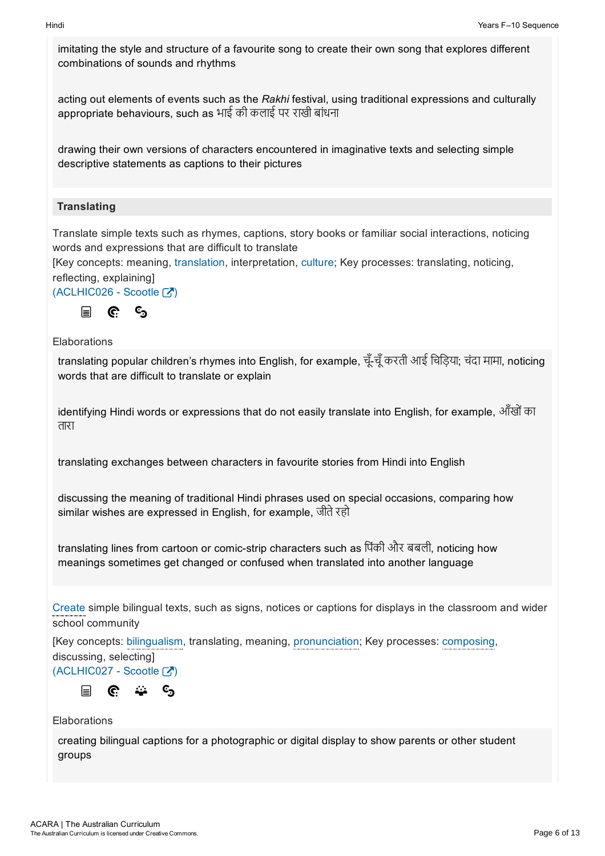imitating the style and structure of a favourite song to create their own song that explores different combinations of sounds and rhythms

acting out elements of events such as the Rakhi festival, using traditional expressions and culturally appropriate behaviours, such as भाई की कलाई पर राखी बांधना

drawing their own versions of characters encountered in imaginative texts and selecting simple descriptive statements as captions to their pictures

#### **Translating**

Translate simple texts such as rhymes, captions, story books or familiar social interactions, noticing words and expressions that are difficult to translate

[Key concepts: meaning, translation, interpretation, culture; Key processes: translating, noticing, reflecting, explaining]

 $(ACLHIC026 - Scootle [7])$ 



#### Elaborations

translating popular children's rhymes into English, for example, चूँचूँकरती आई िचिड़या; चंदा मामा, noticing words that are difficult to translate or explain

identifying Hindi words or expressions that do not easily translate into English, for example, आँखोंका तारा

translating exchanges between characters in favourite stories from Hindi into English

discussing the meaning of traditional Hindi phrases used on special occasions, comparing how similar wishes are expressed in English, for example, जीतेरहो

translating lines from cartoon or comic-strip characters such as पिंकी और बबली, noticing how meanings sometimes get changed or confused when translated into another language

Create simple bilingual texts, such as signs, notices or captions for displays in the classroom and wider school community

[Key concepts: bilingualism, translating, meaning, pronunciation; Key processes: composing, discussing, selecting]

 $(ACLHIC027 - ScoreE$ 



#### **Elaborations**

creating bilingual captions for a photographic or digital display to show parents or other student groups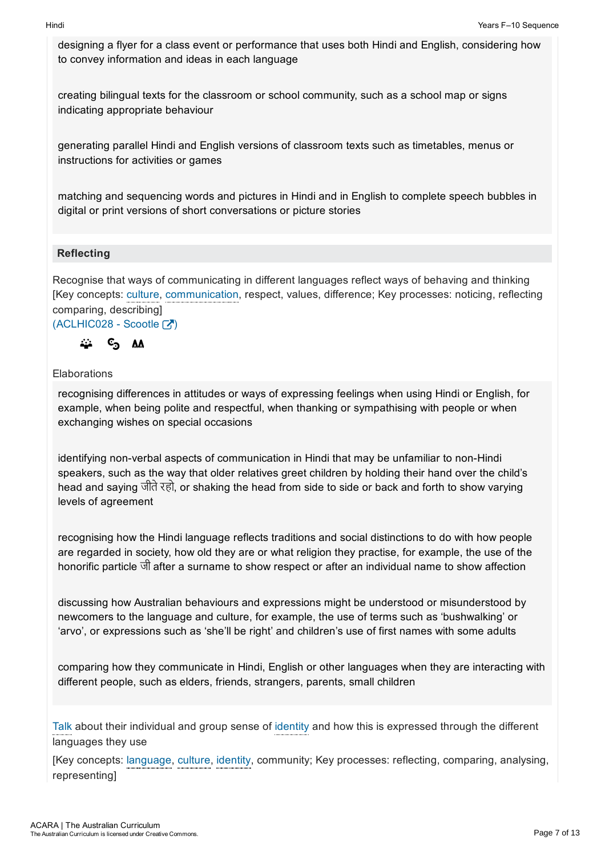designing a flyer for a class event or performance that uses both Hindi and English, considering how to convey information and ideas in each language

creating bilingual texts for the classroom or school community, such as a school map or signs indicating appropriate behaviour

generating parallel Hindi and English versions of classroom texts such as timetables, menus or instructions for activities or games

matching and sequencing words and pictures in Hindi and in English to complete speech bubbles in digital or print versions of short conversations or picture stories

#### Reflecting

Recognise that ways of communicating in different languages reflect ways of behaving and thinking [Key concepts: culture, communication, respect, values, difference; Key processes: noticing, reflecting comparing, describing]  $(ACLHIC028 - Scootle$ 

 $c_{\mathbf{p}}$ **AA** 

#### **Elaborations**

recognising differences in attitudes or ways of expressing feelings when using Hindi or English, for example, when being polite and respectful, when thanking or sympathising with people or when exchanging wishes on special occasions

identifying non-verbal aspects of communication in Hindi that may be unfamiliar to non-Hindi speakers, such as the way that older relatives greet children by holding their hand over the child's head and saying जीतेरहो, or shaking the head from side to side or back and forth to show varying levels of agreement

recognising how the Hindi language reflects traditions and social distinctions to do with how people are regarded in society, how old they are or what religion they practise, for example, the use of the honorific particle जी after a surname to show respect or after an individual name to show affection

discussing how Australian behaviours and expressions might be understood or misunderstood by newcomers to the language and culture, for example, the use of terms such as 'bushwalking' or 'arvo', or expressions such as 'she'll be right' and children's use of first names with some adults

comparing how they communicate in Hindi, English or other languages when they are interacting with different people, such as elders, friends, strangers, parents, small children

Talk about their individual and group sense of identity and how this is expressed through the different languages they use

[Key concepts: language, culture, identity, community; Key processes: reflecting, comparing, analysing, **representingl**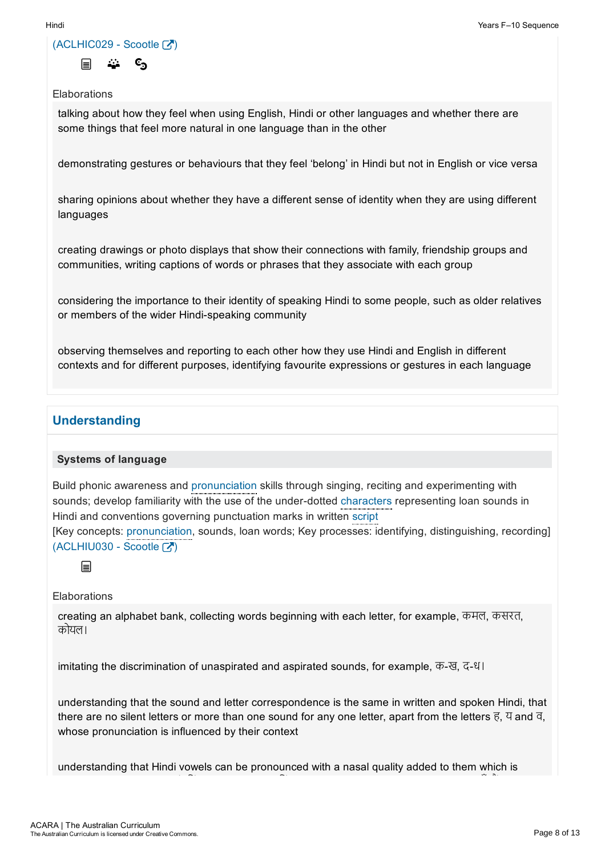



#### **Elaborations**

talking about how they feel when using English, Hindi or other languages and whether there are some things that feel more natural in one language than in the other

demonstrating gestures or behaviours that they feel 'belong' in Hindi but not in English or vice versa

sharing opinions about whether they have a different sense of identity when they are using different languages

creating drawings or photo displays that show their connections with family, friendship groups and communities, writing captions of words or phrases that they associate with each group

considering the importance to their identity of speaking Hindi to some people, such as older relatives or members of the wider Hindi-speaking community

observing themselves and reporting to each other how they use Hindi and English in different contexts and for different purposes, identifying favourite expressions or gestures in each language

## Understanding

#### Systems of language

Build phonic awareness and pronunciation skills through singing, reciting and experimenting with sounds; develop familiarity with the use of the under-dotted characters representing loan sounds in Hindi and conventions governing punctuation marks in written script

[Key concepts: pronunciation, sounds, loan words; Key processes: identifying, distinguishing, recording] (ACLHIU030 - Scootle [계

目

#### **Elaborations**

creating an alphabet bank, collecting words beginning with each letter, for example, कमल, कसरत, कोयल।

imitating the discrimination of unaspirated and aspirated sounds, for example, क-ख, द-ध।

understanding that the sound and letter correspondence is the same in written and spoken Hindi, that there are no silent letters or more than one sound for any one letter, apart from the letters  $\bar{e}$ ,  $\bar{q}$  and  $\bar{q}$ , whose pronunciation is influenced by their context

understanding that Hindi vowels can be pronounced with a nasal quality added to them which is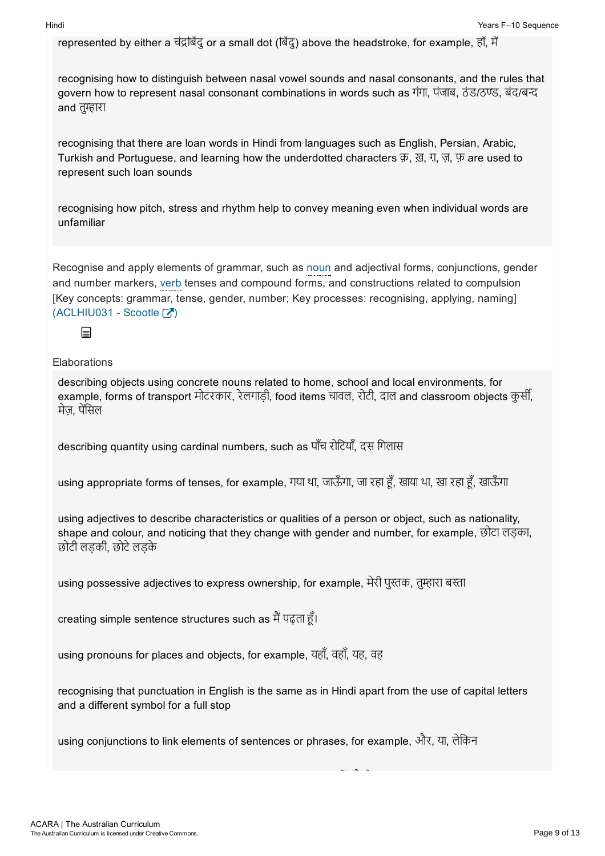represented by either a चंद्रबिंदु or a small dot (बिंदू) above the headstroke, for example, हॉ, में

recognising how to distinguish between nasal vowel sounds and nasal consonants, and the rules that govern how to represent nasal consonant combinations in words such as गंगा, पंजाब, ठंड/ठण्ड, बंद/बन्द and तुम्हारा

recognising that there are loan words in Hindi from languages such as English, Persian, Arabic, Turkish and Portuguese, and learning how the underdotted characters क़, ख़, ग़, ज़, फ़ are used to represent such loan sounds

recognising how pitch, stress and rhythm help to convey meaning even when individual words are unfamiliar

Recognise and apply elements of grammar, such as noun and adjectival forms, conjunctions, gender and number markers, verb tenses and compound forms, and constructions related to compulsion [Key concepts: grammar, tense, gender, number; Key processes: recognising, applying, naming] (ACLHIU031 - Scootle  $\boxed{3}$ )

#### 目

#### **Elaborations**

describing objects using concrete nouns related to home, school and local environments, for example, forms of transport मोटरकार, रेलगाडी, food items चावल, रोटी, दाल and classroom objects कुर्सी, मेज, पेंसिल

describing quantity using cardinal numbers, such as पाँच रोिटयाँ, दस िगलास

using appropriate forms of tenses, for example, गया था, जाऊँगा, जा रहा हूँ, खाया था, खा रहा हूँ, खाऊँगा

using adjectives to describe characteristics or qualities of a person or object, such as nationality, shape and colour, and noticing that they change with gender and number, for example, छोटा लड़का, छोटी लड़की, छोटेलड़के

using possessive adjectives to express ownership, for example, मेरी पुस्तक, तुम्हारा बस्ता

 $c$ reating simple sentence structures such as मैं पढ़ता हूँ।

using pronouns for places and objects, for example, यहाँ, वहाँ, यह, वह

recognising that punctuation in English is the same as in Hindi apart from the use of capital letters and a different symbol for a full stop

using conjunctions to link elements of sentences or phrases, for example, और, या, लेिकन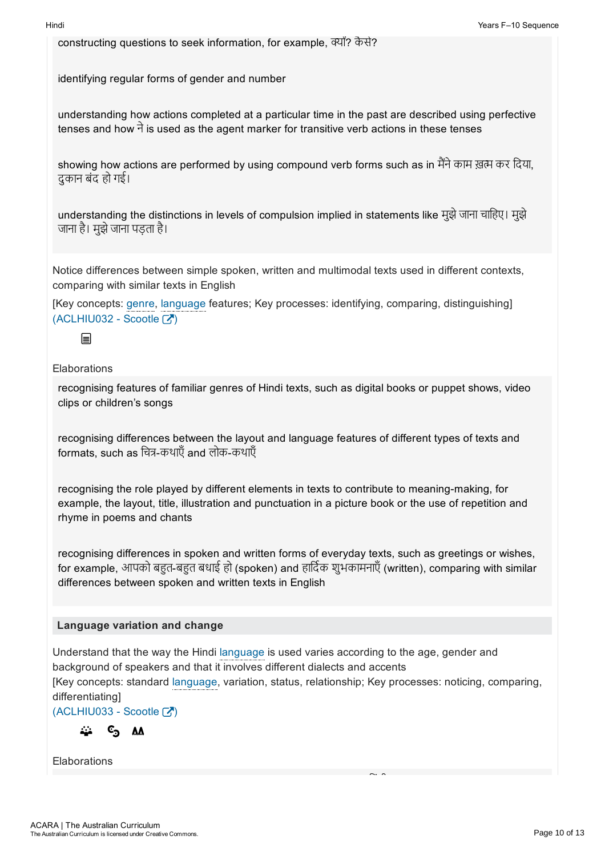constructing questions to seek information, for example, ो?ं कैसे?

identifying regular forms of gender and number

understanding how actions completed at a particular time in the past are described using perfective tenses and how  $\vec{\tau}$  is used as the agent marker for transitive verb actions in these tenses

showing how actions are performed by using compound verb forms such as in मैंने काम ख़त्म कर दिया, दुकान बंद हो गई।

understanding the distinctions in levels of compulsion implied in statements like मुझे जाना चाहिए। मुझे जाना है। मुझे जाना पड़ता है।

Notice differences between simple spoken, written and multimodal texts used in different contexts, comparing with similar texts in English

[Key concepts: genre, language features; Key processes: identifying, comparing, distinguishing] (ACLHIU032 - Scootle  $\overline{(\lambda)}$ 

目

#### **Elaborations**

recognising features of familiar genres of Hindi texts, such as digital books or puppet shows, video clips or children's songs

recognising differences between the layout and language features of different types of texts and formats, such as चित्र-कथाएँ and लोक-कथाएँ

recognising the role played by different elements in texts to contribute to meaning-making, for example, the layout, title, illustration and punctuation in a picture book or the use of repetition and rhyme in poems and chants

recognising differences in spoken and written forms of everyday texts, such as greetings or wishes, for example, आपको बहुत-बहुत बधाई हो (spoken) and हार्दिक शुभकामनाएँ (written), comparing with similar differences between spoken and written texts in English

#### Language variation and change

Understand that the way the Hindi language is used varies according to the age, gender and background of speakers and that it involves different dialects and accents

[Key concepts: standard language, variation, status, relationship; Key processes: noticing, comparing, differentiating]

 $(ACLHIU033 - Scootle [7])$ 



**Elaborations**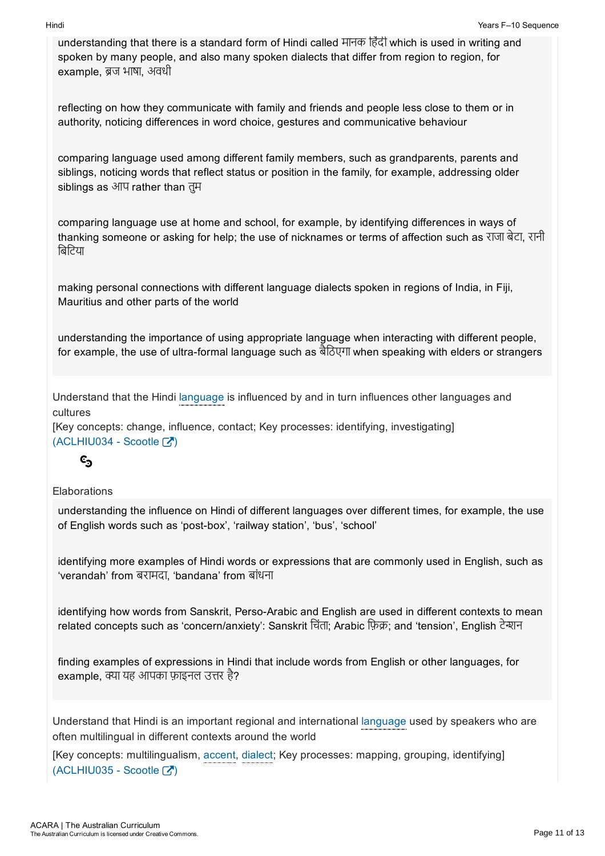understanding that there is a standard form of Hindi called मानक िहदं ी which is used in writing and spoken by many people, and also many spoken dialects that differ from region to region, for example, ब्रज भाषा, अवधी

reflecting on how they communicate with family and friends and people less close to them or in authority, noticing differences in word choice, gestures and communicative behaviour

comparing language used among different family members, such as grandparents, parents and siblings, noticing words that reflect status or position in the family, for example, addressing older siblings as आप rather than तुम

comparing language use at home and school, for example, by identifying differences in ways of thanking someone or asking for help; the use of nicknames or terms of affection such as राजा बेटा, रानी िबिटया

making personal connections with different language dialects spoken in regions of India, in Fiji, Mauritius and other parts of the world

understanding the importance of using appropriate language when interacting with different people, for example, the use of ultra-formal language such as बैठिएगा when speaking with elders or strangers

Understand that the Hindi language is influenced by and in turn influences other languages and cultures

[Key concepts: change, influence, contact; Key processes: identifying, investigating] (ACLHIU034 - Scootle [7])

# $c_{\mathbf{5}}$

## **Elaborations**

understanding the influence on Hindi of different languages over different times, for example, the use of English words such as 'post-box', 'railway station', 'bus', 'school'

identifying more examples of Hindi words or expressions that are commonly used in English, such as 'verandah' from बरामदा, 'bandana' from बांधना

identifying how words from Sanskrit, Perso-Arabic and English are used in different contexts to mean related concepts such as 'concern/anxiety': Sanskrit चिंता; Arabic फ़िक्र; and 'tension', English टेन्शन

finding examples of expressions in Hindi that include words from English or other languages, for example. क्या यह आपका फ़ाइनल उत्तर है?

Understand that Hindi is an important regional and international language used by speakers who are often multilingual in different contexts around the world

[Key concepts: multilingualism, accent, dialect; Key processes: mapping, grouping, identifying]  $(ACLHIU035 - ScoreIE)$